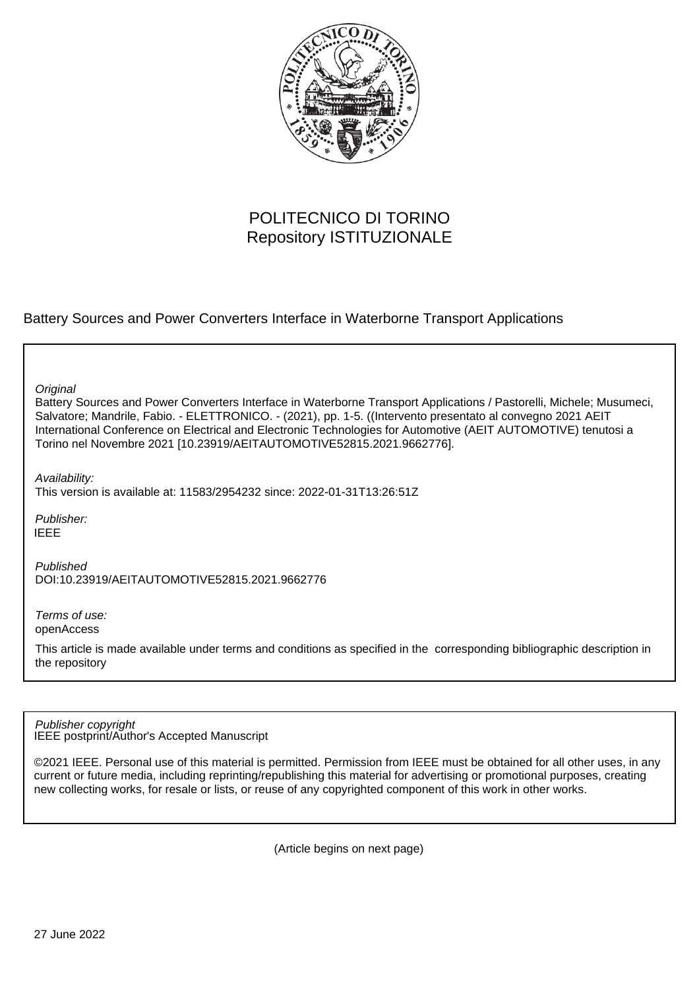

# POLITECNICO DI TORINO Repository ISTITUZIONALE

Battery Sources and Power Converters Interface in Waterborne Transport Applications

**Original** 

Battery Sources and Power Converters Interface in Waterborne Transport Applications / Pastorelli, Michele; Musumeci, Salvatore; Mandrile, Fabio. - ELETTRONICO. - (2021), pp. 1-5. ((Intervento presentato al convegno 2021 AEIT International Conference on Electrical and Electronic Technologies for Automotive (AEIT AUTOMOTIVE) tenutosi a Torino nel Novembre 2021 [10.23919/AEITAUTOMOTIVE52815.2021.9662776].

Availability:

This version is available at: 11583/2954232 since: 2022-01-31T13:26:51Z

Publisher: IEEE

Published DOI:10.23919/AEITAUTOMOTIVE52815.2021.9662776

Terms of use: openAccess

This article is made available under terms and conditions as specified in the corresponding bibliographic description in the repository

IEEE postprint/Author's Accepted Manuscript Publisher copyright

©2021 IEEE. Personal use of this material is permitted. Permission from IEEE must be obtained for all other uses, in any current or future media, including reprinting/republishing this material for advertising or promotional purposes, creating new collecting works, for resale or lists, or reuse of any copyrighted component of this work in other works.

(Article begins on next page)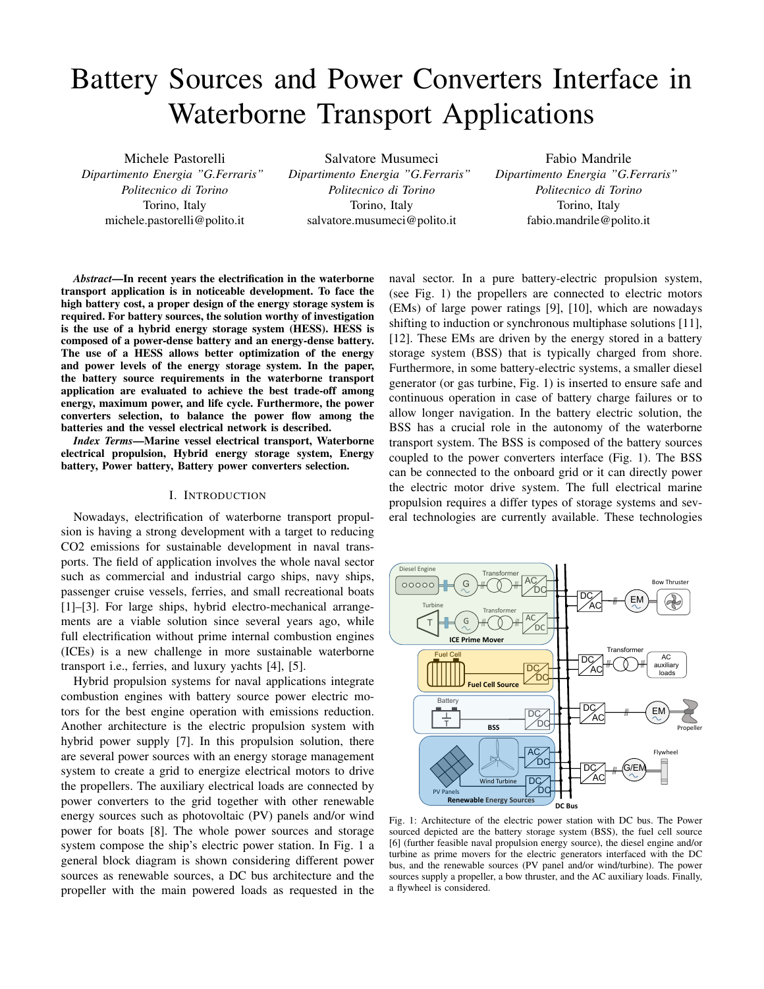# Battery Sources and Power Converters Interface in Waterborne Transport Applications

Michele Pastorelli *Dipartimento Energia "G.Ferraris" Politecnico di Torino* Torino, Italy michele.pastorelli@polito.it

Salvatore Musumeci *Dipartimento Energia "G.Ferraris" Politecnico di Torino* Torino, Italy

salvatore.musumeci@polito.it

Fabio Mandrile *Dipartimento Energia "G.Ferraris" Politecnico di Torino* Torino, Italy fabio.mandrile@polito.it

*Abstract*—In recent years the electrification in the waterborne transport application is in noticeable development. To face the high battery cost, a proper design of the energy storage system is required. For battery sources, the solution worthy of investigation is the use of a hybrid energy storage system (HESS). HESS is composed of a power-dense battery and an energy-dense battery. The use of a HESS allows better optimization of the energy and power levels of the energy storage system. In the paper, the battery source requirements in the waterborne transport application are evaluated to achieve the best trade-off among energy, maximum power, and life cycle. Furthermore, the power converters selection, to balance the power flow among the batteries and the vessel electrical network is described.

*Index Terms*—Marine vessel electrical transport, Waterborne electrical propulsion, Hybrid energy storage system, Energy battery, Power battery, Battery power converters selection.

# I. INTRODUCTION

Nowadays, electrification of waterborne transport propulsion is having a strong development with a target to reducing CO2 emissions for sustainable development in naval transports. The field of application involves the whole naval sector such as commercial and industrial cargo ships, navy ships, passenger cruise vessels, ferries, and small recreational boats [1]–[3]. For large ships, hybrid electro-mechanical arrangements are a viable solution since several years ago, while full electrification without prime internal combustion engines (ICEs) is a new challenge in more sustainable waterborne transport i.e., ferries, and luxury yachts [4], [5].

Hybrid propulsion systems for naval applications integrate combustion engines with battery source power electric motors for the best engine operation with emissions reduction. Another architecture is the electric propulsion system with hybrid power supply [7]. In this propulsion solution, there are several power sources with an energy storage management system to create a grid to energize electrical motors to drive the propellers. The auxiliary electrical loads are connected by power converters to the grid together with other renewable energy sources such as photovoltaic (PV) panels and/or wind power for boats [8]. The whole power sources and storage system compose the ship's electric power station. In Fig. 1 a general block diagram is shown considering different power sources as renewable sources, a DC bus architecture and the propeller with the main powered loads as requested in the

naval sector. In a pure battery-electric propulsion system, (see Fig. 1) the propellers are connected to electric motors (EMs) of large power ratings [9], [10], which are nowadays shifting to induction or synchronous multiphase solutions [11], [12]. These EMs are driven by the energy stored in a battery storage system (BSS) that is typically charged from shore. Furthermore, in some battery-electric systems, a smaller diesel generator (or gas turbine, Fig. 1) is inserted to ensure safe and continuous operation in case of battery charge failures or to allow longer navigation. In the battery electric solution, the BSS has a crucial role in the autonomy of the waterborne transport system. The BSS is composed of the battery sources coupled to the power converters interface (Fig. 1). The BSS can be connected to the onboard grid or it can directly power the electric motor drive system. The full electrical marine propulsion requires a differ types of storage systems and several technologies are currently available. These technologies



Fig. 1: Architecture of the electric power station with DC bus. The Power sourced depicted are the battery storage system (BSS), the fuel cell source [6] (further feasible naval propulsion energy source), the diesel engine and/or turbine as prime movers for the electric generators interfaced with the DC bus, and the renewable sources (PV panel and/or wind/turbine). The power sources supply a propeller, a bow thruster, and the AC auxiliary loads. Finally, a flywheel is considered.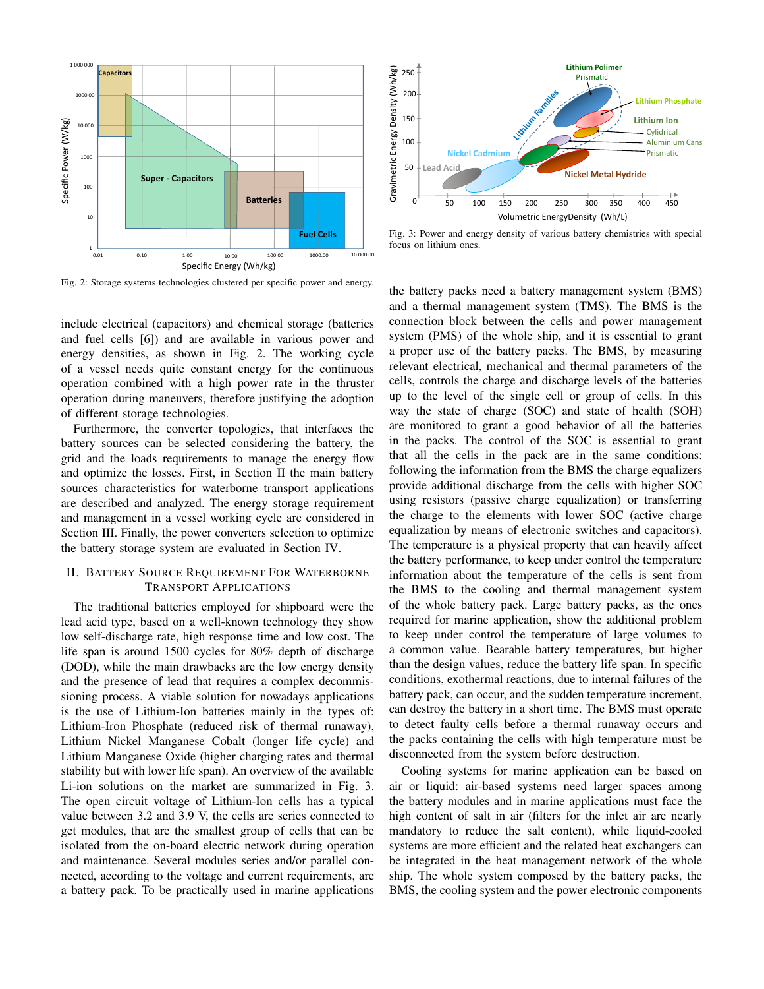

Fig. 2: Storage systems technologies clustered per specific power and energy.

include electrical (capacitors) and chemical storage (batteries and fuel cells [6]) and are available in various power and energy densities, as shown in Fig. 2. The working cycle of a vessel needs quite constant energy for the continuous operation combined with a high power rate in the thruster operation during maneuvers, therefore justifying the adoption of different storage technologies.

Furthermore, the converter topologies, that interfaces the battery sources can be selected considering the battery, the grid and the loads requirements to manage the energy flow and optimize the losses. First, in Section II the main battery sources characteristics for waterborne transport applications are described and analyzed. The energy storage requirement and management in a vessel working cycle are considered in Section III. Finally, the power converters selection to optimize the battery storage system are evaluated in Section IV.

# II. BATTERY SOURCE REQUIREMENT FOR WATERBORNE TRANSPORT APPLICATIONS

The traditional batteries employed for shipboard were the lead acid type, based on a well-known technology they show low self-discharge rate, high response time and low cost. The life span is around 1500 cycles for 80% depth of discharge (DOD), while the main drawbacks are the low energy density and the presence of lead that requires a complex decommissioning process. A viable solution for nowadays applications is the use of Lithium-Ion batteries mainly in the types of: Lithium-Iron Phosphate (reduced risk of thermal runaway), Lithium Nickel Manganese Cobalt (longer life cycle) and Lithium Manganese Oxide (higher charging rates and thermal stability but with lower life span). An overview of the available Li-ion solutions on the market are summarized in Fig. 3. The open circuit voltage of Lithium-Ion cells has a typical value between 3.2 and 3.9 V, the cells are series connected to get modules, that are the smallest group of cells that can be isolated from the on-board electric network during operation and maintenance. Several modules series and/or parallel connected, according to the voltage and current requirements, are a battery pack. To be practically used in marine applications



Fig. 3: Power and energy density of various battery chemistries with special focus on lithium ones.

the battery packs need a battery management system (BMS) and a thermal management system (TMS). The BMS is the connection block between the cells and power management system (PMS) of the whole ship, and it is essential to grant a proper use of the battery packs. The BMS, by measuring relevant electrical, mechanical and thermal parameters of the cells, controls the charge and discharge levels of the batteries up to the level of the single cell or group of cells. In this way the state of charge (SOC) and state of health (SOH) are monitored to grant a good behavior of all the batteries in the packs. The control of the SOC is essential to grant that all the cells in the pack are in the same conditions: following the information from the BMS the charge equalizers provide additional discharge from the cells with higher SOC using resistors (passive charge equalization) or transferring the charge to the elements with lower SOC (active charge equalization by means of electronic switches and capacitors). The temperature is a physical property that can heavily affect the battery performance, to keep under control the temperature information about the temperature of the cells is sent from the BMS to the cooling and thermal management system of the whole battery pack. Large battery packs, as the ones required for marine application, show the additional problem to keep under control the temperature of large volumes to a common value. Bearable battery temperatures, but higher than the design values, reduce the battery life span. In specific conditions, exothermal reactions, due to internal failures of the battery pack, can occur, and the sudden temperature increment, can destroy the battery in a short time. The BMS must operate to detect faulty cells before a thermal runaway occurs and the packs containing the cells with high temperature must be disconnected from the system before destruction.

Cooling systems for marine application can be based on air or liquid: air-based systems need larger spaces among the battery modules and in marine applications must face the high content of salt in air (filters for the inlet air are nearly mandatory to reduce the salt content), while liquid-cooled systems are more efficient and the related heat exchangers can be integrated in the heat management network of the whole ship. The whole system composed by the battery packs, the BMS, the cooling system and the power electronic components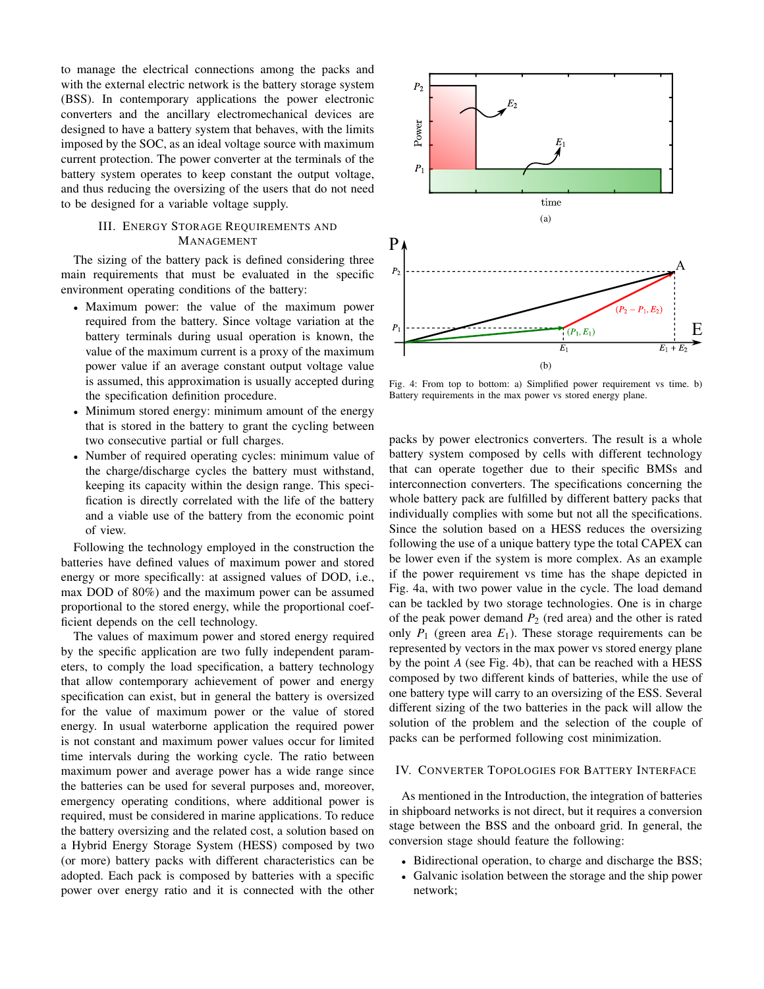to manage the electrical connections among the packs and with the external electric network is the battery storage system (BSS). In contemporary applications the power electronic converters and the ancillary electromechanical devices are designed to have a battery system that behaves, with the limits imposed by the SOC, as an ideal voltage source with maximum current protection. The power converter at the terminals of the battery system operates to keep constant the output voltage, and thus reducing the oversizing of the users that do not need to be designed for a variable voltage supply.

# III. ENERGY STORAGE REQUIREMENTS AND MANAGEMENT

The sizing of the battery pack is defined considering three main requirements that must be evaluated in the specific environment operating conditions of the battery:

- Maximum power: the value of the maximum power required from the battery. Since voltage variation at the battery terminals during usual operation is known, the value of the maximum current is a proxy of the maximum power value if an average constant output voltage value is assumed, this approximation is usually accepted during the specification definition procedure.
- Minimum stored energy: minimum amount of the energy that is stored in the battery to grant the cycling between two consecutive partial or full charges.
- Number of required operating cycles: minimum value of the charge/discharge cycles the battery must withstand, keeping its capacity within the design range. This specification is directly correlated with the life of the battery and a viable use of the battery from the economic point of view.

Following the technology employed in the construction the batteries have defined values of maximum power and stored energy or more specifically: at assigned values of DOD, i.e., max DOD of 80%) and the maximum power can be assumed proportional to the stored energy, while the proportional coefficient depends on the cell technology.

The values of maximum power and stored energy required by the specific application are two fully independent parameters, to comply the load specification, a battery technology that allow contemporary achievement of power and energy specification can exist, but in general the battery is oversized for the value of maximum power or the value of stored energy. In usual waterborne application the required power is not constant and maximum power values occur for limited time intervals during the working cycle. The ratio between maximum power and average power has a wide range since the batteries can be used for several purposes and, moreover, emergency operating conditions, where additional power is required, must be considered in marine applications. To reduce the battery oversizing and the related cost, a solution based on a Hybrid Energy Storage System (HESS) composed by two (or more) battery packs with different characteristics can be adopted. Each pack is composed by batteries with a specific power over energy ratio and it is connected with the other



Fig. 4: From top to bottom: a) Simplified power requirement vs time. b) Battery requirements in the max power vs stored energy plane.

packs by power electronics converters. The result is a whole battery system composed by cells with different technology that can operate together due to their specific BMSs and interconnection converters. The specifications concerning the whole battery pack are fulfilled by different battery packs that individually complies with some but not all the specifications. Since the solution based on a HESS reduces the oversizing following the use of a unique battery type the total CAPEX can be lower even if the system is more complex. As an example if the power requirement vs time has the shape depicted in Fig. 4a, with two power value in the cycle. The load demand can be tackled by two storage technologies. One is in charge of the peak power demand  $P_2$  (red area) and the other is rated only  $P_1$  (green area  $E_1$ ). These storage requirements can be represented by vectors in the max power vs stored energy plane by the point *A* (see Fig. 4b), that can be reached with a HESS composed by two different kinds of batteries, while the use of one battery type will carry to an oversizing of the ESS. Several different sizing of the two batteries in the pack will allow the solution of the problem and the selection of the couple of packs can be performed following cost minimization.

# IV. CONVERTER TOPOLOGIES FOR BATTERY INTERFACE

As mentioned in the Introduction, the integration of batteries in shipboard networks is not direct, but it requires a conversion stage between the BSS and the onboard grid. In general, the conversion stage should feature the following:

- Bidirectional operation, to charge and discharge the BSS;
- Galvanic isolation between the storage and the ship power network;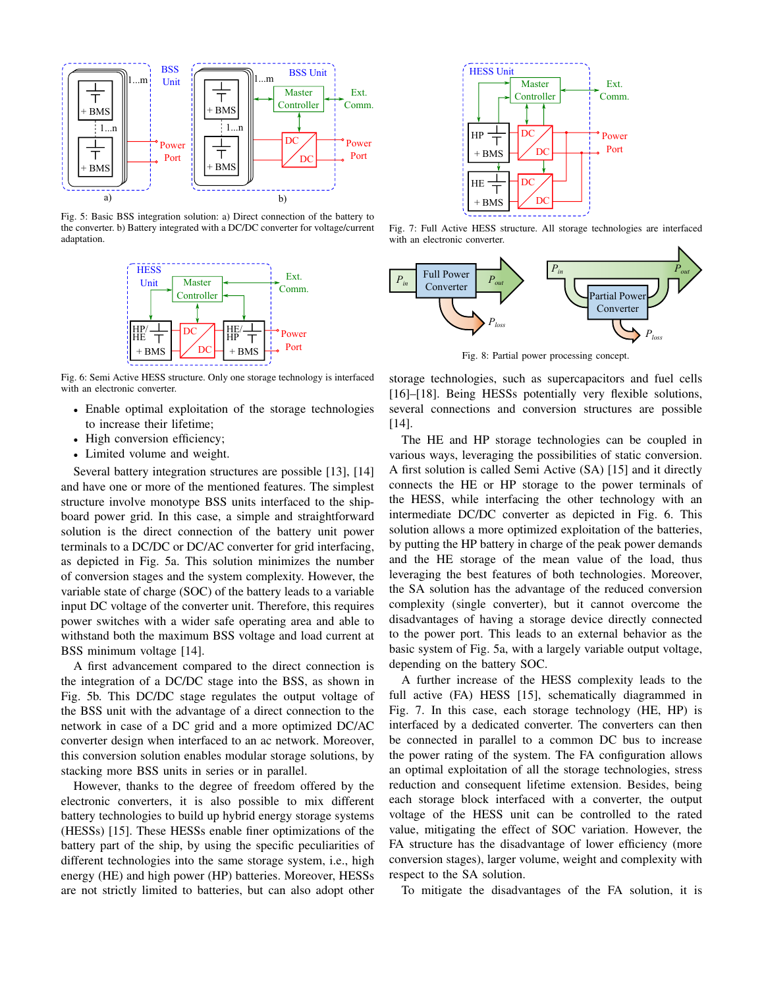

Fig. 5: Basic BSS integration solution: a) Direct connection of the battery to the converter. b) Battery integrated with a DC/DC converter for voltage/current adaptation.



Fig. 6: Semi Active HESS structure. Only one storage technology is interfaced with an electronic converter.

- Enable optimal exploitation of the storage technologies to increase their lifetime;
- High conversion efficiency;
- Limited volume and weight.

Several battery integration structures are possible [13], [14] and have one or more of the mentioned features. The simplest structure involve monotype BSS units interfaced to the shipboard power grid. In this case, a simple and straightforward solution is the direct connection of the battery unit power terminals to a DC/DC or DC/AC converter for grid interfacing, as depicted in Fig. 5a. This solution minimizes the number of conversion stages and the system complexity. However, the variable state of charge (SOC) of the battery leads to a variable input DC voltage of the converter unit. Therefore, this requires power switches with a wider safe operating area and able to withstand both the maximum BSS voltage and load current at BSS minimum voltage [14].

A first advancement compared to the direct connection is the integration of a DC/DC stage into the BSS, as shown in Fig. 5b. This DC/DC stage regulates the output voltage of the BSS unit with the advantage of a direct connection to the network in case of a DC grid and a more optimized DC/AC converter design when interfaced to an ac network. Moreover, this conversion solution enables modular storage solutions, by stacking more BSS units in series or in parallel.

However, thanks to the degree of freedom offered by the electronic converters, it is also possible to mix different battery technologies to build up hybrid energy storage systems (HESSs) [15]. These HESSs enable finer optimizations of the battery part of the ship, by using the specific peculiarities of different technologies into the same storage system, i.e., high energy (HE) and high power (HP) batteries. Moreover, HESSs are not strictly limited to batteries, but can also adopt other



Fig. 7: Full Active HESS structure. All storage technologies are interfaced with an electronic converter.



Fig. 8: Partial power processing concept.

storage technologies, such as supercapacitors and fuel cells [16]–[18]. Being HESSs potentially very flexible solutions, several connections and conversion structures are possible [14].

The HE and HP storage technologies can be coupled in various ways, leveraging the possibilities of static conversion. A first solution is called Semi Active (SA) [15] and it directly connects the HE or HP storage to the power terminals of the HESS, while interfacing the other technology with an intermediate DC/DC converter as depicted in Fig. 6. This solution allows a more optimized exploitation of the batteries, by putting the HP battery in charge of the peak power demands and the HE storage of the mean value of the load, thus leveraging the best features of both technologies. Moreover, the SA solution has the advantage of the reduced conversion complexity (single converter), but it cannot overcome the disadvantages of having a storage device directly connected to the power port. This leads to an external behavior as the basic system of Fig. 5a, with a largely variable output voltage, depending on the battery SOC.

A further increase of the HESS complexity leads to the full active (FA) HESS [15], schematically diagrammed in Fig. 7. In this case, each storage technology (HE, HP) is interfaced by a dedicated converter. The converters can then be connected in parallel to a common DC bus to increase the power rating of the system. The FA configuration allows an optimal exploitation of all the storage technologies, stress reduction and consequent lifetime extension. Besides, being each storage block interfaced with a converter, the output voltage of the HESS unit can be controlled to the rated value, mitigating the effect of SOC variation. However, the FA structure has the disadvantage of lower efficiency (more conversion stages), larger volume, weight and complexity with respect to the SA solution.

To mitigate the disadvantages of the FA solution, it is